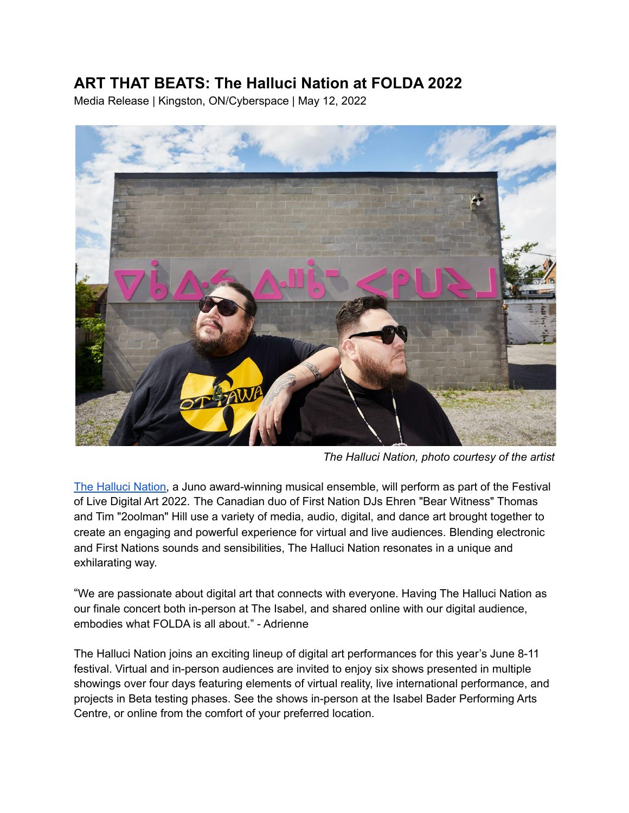# **ART THAT BEATS: The Halluci Nation at FOLDA 2022**

Media Release | Kingston, ON/Cyberspace | May 12, 2022



*The Halluci Nation, photo courtesy of the artist*

The [Halluci](https://thehallucination.com/) Nation, a Juno award-winning musical ensemble, will perform as part of the Festival of Live Digital Art 2022. The Canadian duo of First Nation DJs Ehren "Bear Witness" Thomas and Tim "2oolman" Hill use a variety of media, audio, digital, and dance art brought together to create an engaging and powerful experience for virtual and live audiences. Blending electronic and First Nations sounds and sensibilities, The Halluci Nation resonates in a unique and exhilarating way.

"We are passionate about digital art that connects with everyone. Having The Halluci Nation as our finale concert both in-person at The Isabel, and shared online with our digital audience, embodies what FOLDA is all about." - Adrienne

The Halluci Nation joins an exciting lineup of digital art performances for this year's June 8-11 festival. Virtual and in-person audiences are invited to enjoy six shows presented in multiple showings over four days featuring elements of virtual reality, live international performance, and projects in Beta testing phases. See the shows in-person at the Isabel Bader Performing Arts Centre, or online from the comfort of your preferred location.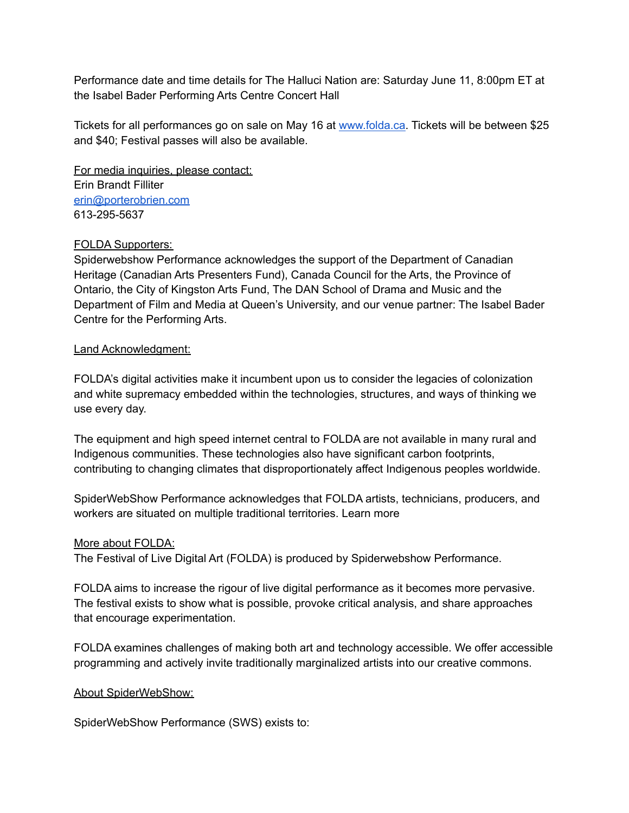Performance date and time details for The Halluci Nation are: Saturday June 11, 8:00pm ET at the Isabel Bader Performing Arts Centre Concert Hall

Tickets for all performances go on sale on May 16 at [www.folda.ca.](http://www.folda.ca) Tickets will be between \$25 and \$40; Festival passes will also be available.

For media inquiries, please contact: Erin Brandt Filliter [erin@porterobrien.com](mailto:erin@porterobrien.com) 613-295-5637

## FOLDA Supporters:

Spiderwebshow Performance acknowledges the support of the Department of Canadian Heritage (Canadian Arts Presenters Fund), Canada Council for the Arts, the Province of Ontario, the City of Kingston Arts Fund, The DAN School of Drama and Music and the Department of Film and Media at Queen's University, and our venue partner: The Isabel Bader Centre for the Performing Arts.

## Land Acknowledgment:

FOLDA's digital activities make it incumbent upon us to consider the legacies of colonization and white supremacy embedded within the technologies, structures, and ways of thinking we use every day.

The equipment and high speed internet central to FOLDA are not available in many rural and Indigenous communities. These technologies also have significant carbon footprints, contributing to changing climates that disproportionately affect Indigenous peoples worldwide.

SpiderWebShow Performance acknowledges that FOLDA artists, technicians, producers, and workers are situated on multiple traditional territories. Learn more

## More about FOLDA:

The Festival of Live Digital Art (FOLDA) is produced by Spiderwebshow Performance.

FOLDA aims to increase the rigour of live digital performance as it becomes more pervasive. The festival exists to show what is possible, provoke critical analysis, and share approaches that encourage experimentation.

FOLDA examines challenges of making both art and technology accessible. We offer accessible programming and actively invite traditionally marginalized artists into our creative commons.

## About SpiderWebShow:

SpiderWebShow Performance (SWS) exists to: